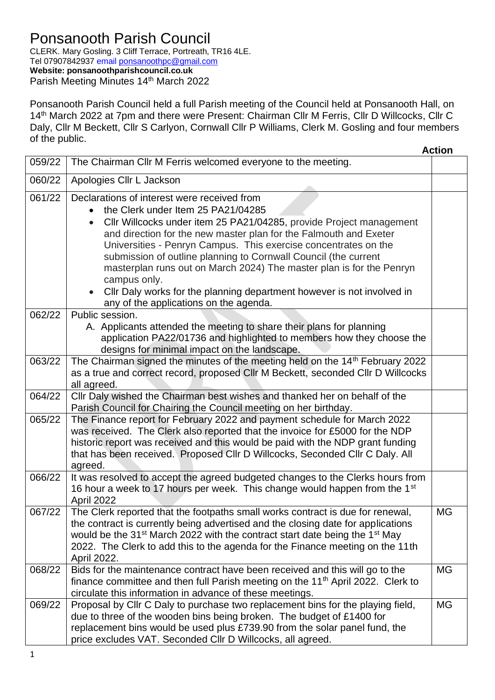## Ponsanooth Parish Council

CLERK. Mary Gosling. 3 Cliff Terrace, Portreath, TR16 4LE. Tel 07907842937 email [ponsanoothpc@gmail.com](mailto:ponsanoothpc@gmail.com) **Website: ponsanoothparishcouncil.co.uk** Parish Meeting Minutes 14<sup>th</sup> March 2022

Ponsanooth Parish Council held a full Parish meeting of the Council held at Ponsanooth Hall, on 14<sup>th</sup> March 2022 at 7pm and there were Present: Chairman Cllr M Ferris, Cllr D Willcocks, Cllr C Daly, Cllr M Beckett, Cllr S Carlyon, Cornwall Cllr P Williams, Clerk M. Gosling and four members of the public.

|        |                                                                                                                                                                                                                                                                                                                                                                                                                                                                                                                                                                                                           | <b>Action</b> |
|--------|-----------------------------------------------------------------------------------------------------------------------------------------------------------------------------------------------------------------------------------------------------------------------------------------------------------------------------------------------------------------------------------------------------------------------------------------------------------------------------------------------------------------------------------------------------------------------------------------------------------|---------------|
| 059/22 | The Chairman Cllr M Ferris welcomed everyone to the meeting.                                                                                                                                                                                                                                                                                                                                                                                                                                                                                                                                              |               |
| 060/22 | Apologies Cllr L Jackson                                                                                                                                                                                                                                                                                                                                                                                                                                                                                                                                                                                  |               |
| 061/22 | Declarations of interest were received from<br>the Clerk under Item 25 PA21/04285<br>$\bullet$<br>Cllr Willcocks under item 25 PA21/04285, provide Project management<br>$\bullet$<br>and direction for the new master plan for the Falmouth and Exeter<br>Universities - Penryn Campus. This exercise concentrates on the<br>submission of outline planning to Cornwall Council (the current<br>masterplan runs out on March 2024) The master plan is for the Penryn<br>campus only.<br>Cllr Daly works for the planning department however is not involved in<br>any of the applications on the agenda. |               |
| 062/22 | Public session.<br>A. Applicants attended the meeting to share their plans for planning<br>application PA22/01736 and highlighted to members how they choose the<br>designs for minimal impact on the landscape.                                                                                                                                                                                                                                                                                                                                                                                          |               |
| 063/22 | The Chairman signed the minutes of the meeting held on the 14 <sup>th</sup> February 2022<br>as a true and correct record, proposed CIIr M Beckett, seconded CIIr D Willcocks<br>all agreed.                                                                                                                                                                                                                                                                                                                                                                                                              |               |
| 064/22 | Cllr Daly wished the Chairman best wishes and thanked her on behalf of the<br>Parish Council for Chairing the Council meeting on her birthday.                                                                                                                                                                                                                                                                                                                                                                                                                                                            |               |
| 065/22 | The Finance report for February 2022 and payment schedule for March 2022<br>was received. The Clerk also reported that the invoice for £5000 for the NDP<br>historic report was received and this would be paid with the NDP grant funding<br>that has been received. Proposed Cllr D Willcocks, Seconded Cllr C Daly. All<br>agreed.                                                                                                                                                                                                                                                                     |               |
| 066/22 | It was resolved to accept the agreed budgeted changes to the Clerks hours from<br>16 hour a week to 17 hours per week. This change would happen from the 1 <sup>st</sup><br>April 2022                                                                                                                                                                                                                                                                                                                                                                                                                    |               |
| 067/22 | The Clerk reported that the footpaths small works contract is due for renewal,<br>the contract is currently being advertised and the closing date for applications<br>would be the 31 <sup>st</sup> March 2022 with the contract start date being the 1 <sup>st</sup> May<br>2022. The Clerk to add this to the agenda for the Finance meeting on the 11th<br>April 2022.                                                                                                                                                                                                                                 | MG            |
| 068/22 | Bids for the maintenance contract have been received and this will go to the<br>finance committee and then full Parish meeting on the 11 <sup>th</sup> April 2022. Clerk to<br>circulate this information in advance of these meetings.                                                                                                                                                                                                                                                                                                                                                                   | <b>MG</b>     |
| 069/22 | Proposal by Cllr C Daly to purchase two replacement bins for the playing field,<br>due to three of the wooden bins being broken. The budget of £1400 for<br>replacement bins would be used plus £739.90 from the solar panel fund, the<br>price excludes VAT. Seconded CIIr D Willcocks, all agreed.                                                                                                                                                                                                                                                                                                      | MG            |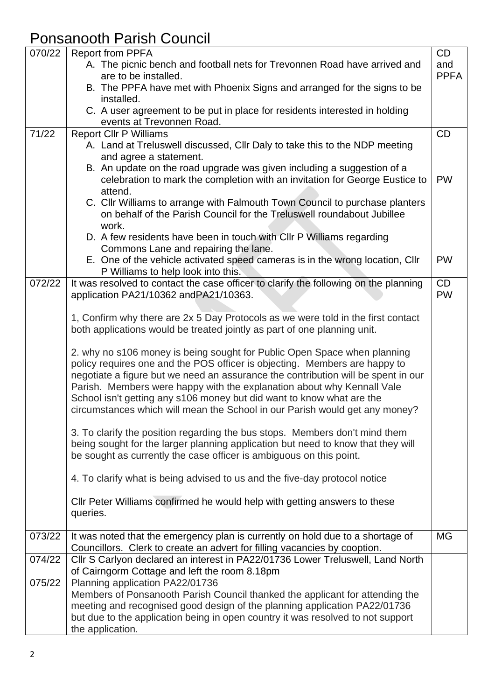## Ponsanooth Parish Council

| 070/22 | <b>Report from PPFA</b>                                                                                                                                                                                                                                                                                                                                                                                                                                                       | CD                 |
|--------|-------------------------------------------------------------------------------------------------------------------------------------------------------------------------------------------------------------------------------------------------------------------------------------------------------------------------------------------------------------------------------------------------------------------------------------------------------------------------------|--------------------|
|        | A. The picnic bench and football nets for Trevonnen Road have arrived and<br>are to be installed.                                                                                                                                                                                                                                                                                                                                                                             | and<br><b>PPFA</b> |
|        | B. The PPFA have met with Phoenix Signs and arranged for the signs to be<br>installed.                                                                                                                                                                                                                                                                                                                                                                                        |                    |
|        | C. A user agreement to be put in place for residents interested in holding<br>events at Trevonnen Road.                                                                                                                                                                                                                                                                                                                                                                       |                    |
| 71/22  | <b>Report Cllr P Williams</b>                                                                                                                                                                                                                                                                                                                                                                                                                                                 | CD                 |
|        | A. Land at Treluswell discussed, Cllr Daly to take this to the NDP meeting                                                                                                                                                                                                                                                                                                                                                                                                    |                    |
|        | and agree a statement.                                                                                                                                                                                                                                                                                                                                                                                                                                                        |                    |
|        | B. An update on the road upgrade was given including a suggestion of a<br>celebration to mark the completion with an invitation for George Eustice to<br>attend.                                                                                                                                                                                                                                                                                                              | <b>PW</b>          |
|        | C. Cllr Williams to arrange with Falmouth Town Council to purchase planters<br>on behalf of the Parish Council for the Treluswell roundabout Jubillee<br>work.                                                                                                                                                                                                                                                                                                                |                    |
|        | D. A few residents have been in touch with Cllr P Williams regarding                                                                                                                                                                                                                                                                                                                                                                                                          |                    |
|        | Commons Lane and repairing the lane.                                                                                                                                                                                                                                                                                                                                                                                                                                          |                    |
|        | E. One of the vehicle activated speed cameras is in the wrong location, Cllr<br>P Williams to help look into this.                                                                                                                                                                                                                                                                                                                                                            | <b>PW</b>          |
| 072/22 | It was resolved to contact the case officer to clarify the following on the planning                                                                                                                                                                                                                                                                                                                                                                                          | <b>CD</b>          |
|        | application PA21/10362 and PA21/10363.                                                                                                                                                                                                                                                                                                                                                                                                                                        | <b>PW</b>          |
|        | 1, Confirm why there are 2x 5 Day Protocols as we were told in the first contact<br>both applications would be treated jointly as part of one planning unit.                                                                                                                                                                                                                                                                                                                  |                    |
|        | 2. why no s106 money is being sought for Public Open Space when planning<br>policy requires one and the POS officer is objecting. Members are happy to<br>negotiate a figure but we need an assurance the contribution will be spent in our<br>Parish. Members were happy with the explanation about why Kennall Vale<br>School isn't getting any s106 money but did want to know what are the<br>circumstances which will mean the School in our Parish would get any money? |                    |
|        | 3. To clarify the position regarding the bus stops. Members don't mind them<br>being sought for the larger planning application but need to know that they will<br>be sought as currently the case officer is ambiguous on this point.                                                                                                                                                                                                                                        |                    |
|        | 4. To clarify what is being advised to us and the five-day protocol notice                                                                                                                                                                                                                                                                                                                                                                                                    |                    |
|        | CIIr Peter Williams confirmed he would help with getting answers to these<br>queries.                                                                                                                                                                                                                                                                                                                                                                                         |                    |
| 073/22 | It was noted that the emergency plan is currently on hold due to a shortage of<br>Councillors. Clerk to create an advert for filling vacancies by cooption.                                                                                                                                                                                                                                                                                                                   | <b>MG</b>          |
| 074/22 | Cllr S Carlyon declared an interest in PA22/01736 Lower Treluswell, Land North<br>of Cairngorm Cottage and left the room 8.18pm                                                                                                                                                                                                                                                                                                                                               |                    |
| 075/22 | Planning application PA22/01736                                                                                                                                                                                                                                                                                                                                                                                                                                               |                    |
|        | Members of Ponsanooth Parish Council thanked the applicant for attending the<br>meeting and recognised good design of the planning application PA22/01736<br>but due to the application being in open country it was resolved to not support<br>the application.                                                                                                                                                                                                              |                    |